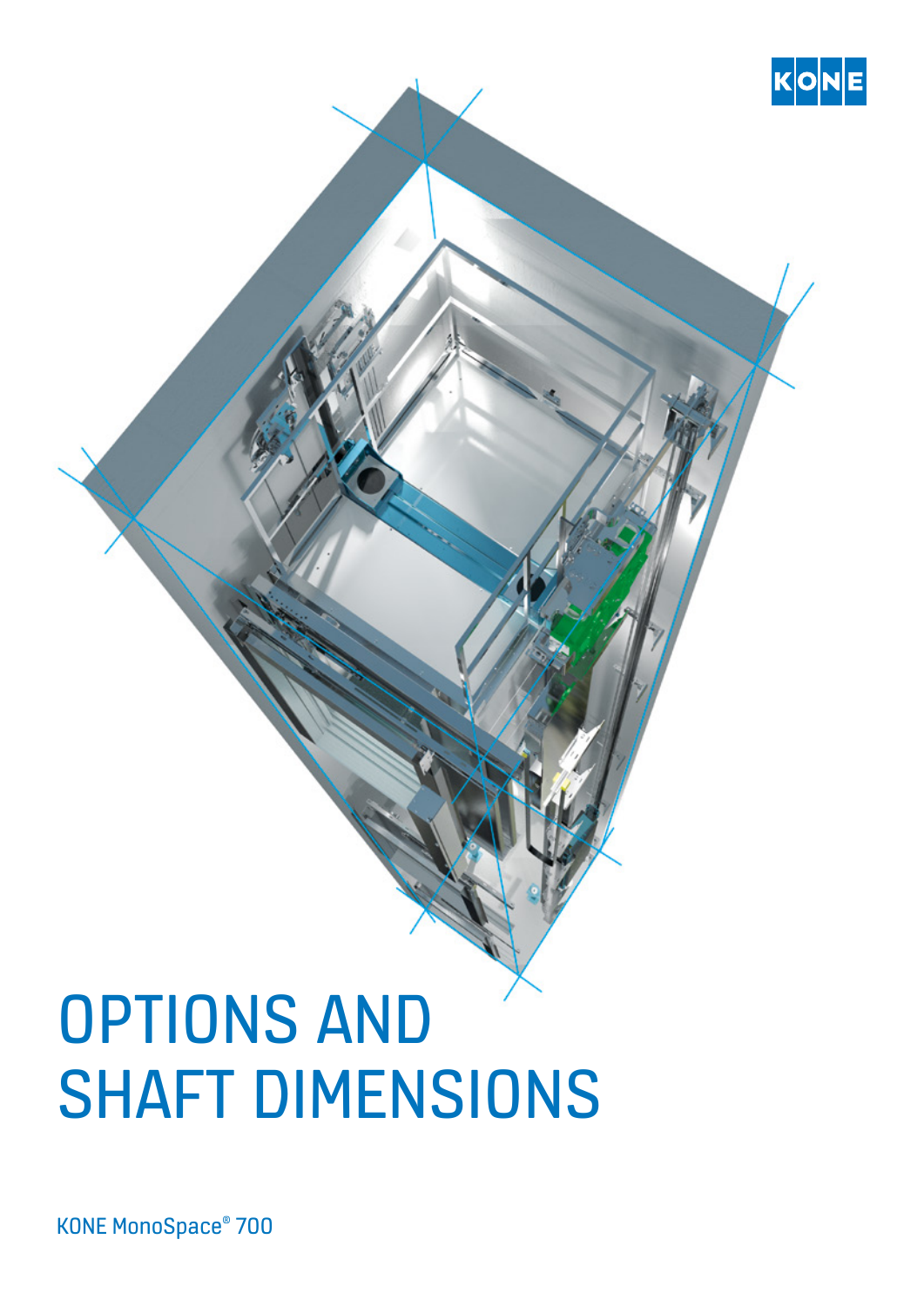

KONE MonoSpace® 700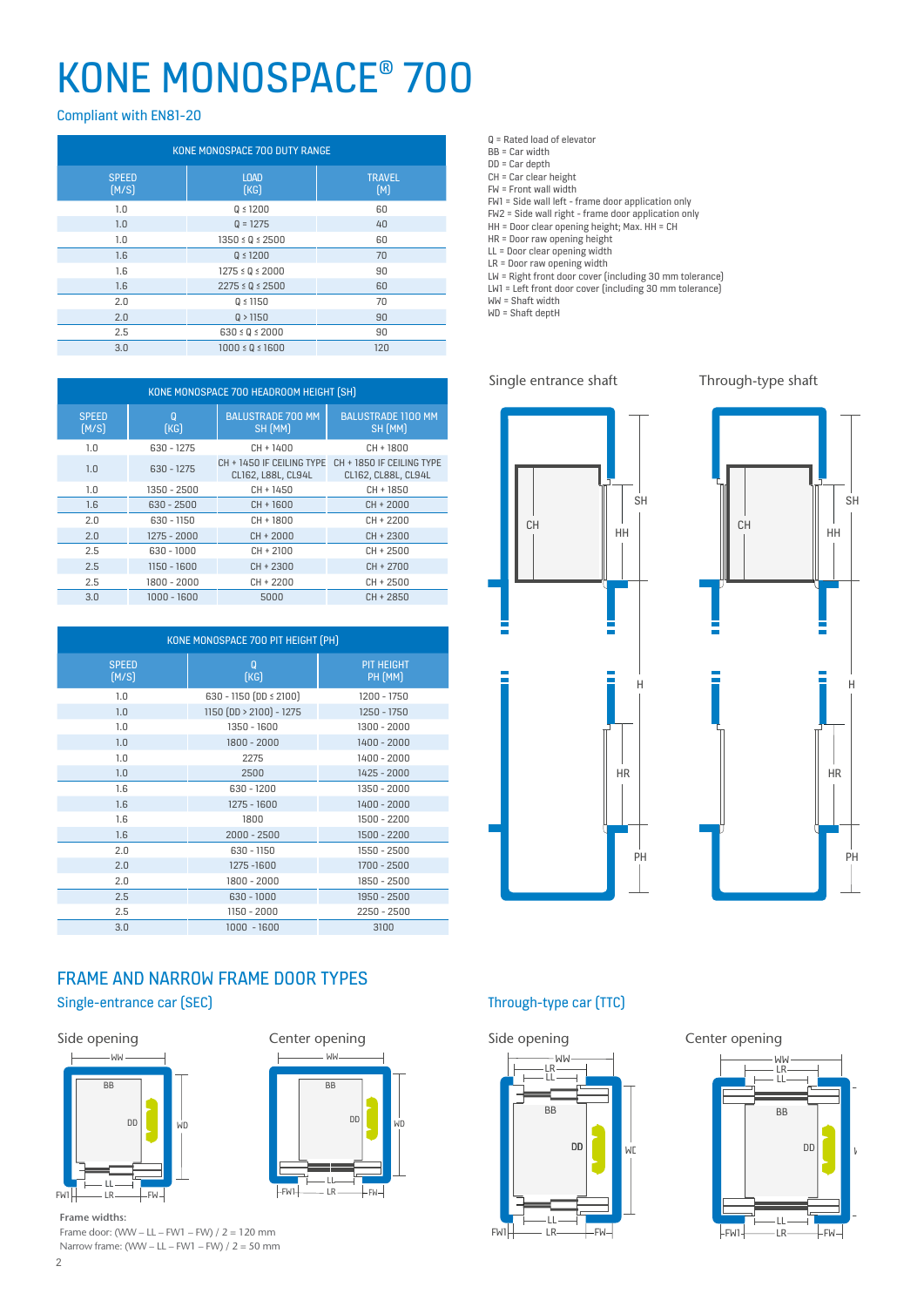# KONE MONOSPACE® 700

Compliant with EN81-20

| KONE MONOSPACE 700 DUTY RANGE |                         |                      |  |  |  |  |  |  |  |
|-------------------------------|-------------------------|----------------------|--|--|--|--|--|--|--|
| <b>SPEED</b><br>(M/S)         | <b>LOAD</b><br>[KG]     | <b>TRAVEL</b><br>[M] |  |  |  |  |  |  |  |
| 1.0                           | $Q \le 1200$            | 60                   |  |  |  |  |  |  |  |
| 1.0                           | $Q = 1275$              | 40                   |  |  |  |  |  |  |  |
| 1.0                           | $1350 \le Q \le 2500$   | 60                   |  |  |  |  |  |  |  |
| 1.6                           | $Q \le 1200$            | 70                   |  |  |  |  |  |  |  |
| 1.6                           | $1275 \le Q \le 2000$   | 90                   |  |  |  |  |  |  |  |
| 1.6                           | $2275 \le Q \le 2500$   | 60                   |  |  |  |  |  |  |  |
| 2.0                           | $Q \le 1150$            | 70                   |  |  |  |  |  |  |  |
| 2.0                           | Q > 1150                | 90                   |  |  |  |  |  |  |  |
| 2.5                           | $630 \le Q \le 2000$    | 90                   |  |  |  |  |  |  |  |
| 3.0                           | $1000 \leq 0 \leq 1600$ | 120                  |  |  |  |  |  |  |  |

| KONE MONOSPACE 700 HEADROOM HEIGHT (SH) |                  |                                                 |                                                  |  |  |  |  |  |  |  |
|-----------------------------------------|------------------|-------------------------------------------------|--------------------------------------------------|--|--|--|--|--|--|--|
| <b>SPEED</b><br>[M/S]                   | $\Omega$<br>[KG] | <b>BALUSTRADE 700 MM</b><br>SH (MM)             | <b>BALUSTRADE 1100 MM</b><br>SH (MM)             |  |  |  |  |  |  |  |
| 1.0                                     | 630 - 1275       | CH + 1400                                       | $CH + 1800$                                      |  |  |  |  |  |  |  |
| 1.0                                     | $630 - 1275$     | CH + 1450 IF CEILING TYPE<br>CL162, L88L, CL94L | CH + 1850 IF CEILING TYPE<br>CL162, CL88L, CL94L |  |  |  |  |  |  |  |
| 1.0                                     | 1350 - 2500      | CH + 1450                                       | CH + 1850                                        |  |  |  |  |  |  |  |
| 1.6                                     | $630 - 2500$     | CH + 1600                                       | CH + 2000                                        |  |  |  |  |  |  |  |
| 2.0                                     | 630 - 1150       | CH + 1800                                       | CH + 2200                                        |  |  |  |  |  |  |  |
| 2.0                                     | 1275 - 2000      | $CH + 2000$                                     | $CH + 2300$                                      |  |  |  |  |  |  |  |
| 2.5                                     | 630 - 1000       | $CH + 2100$                                     | $CH + 2500$                                      |  |  |  |  |  |  |  |
| 2.5                                     | 1150 - 1600      | $CH + 2300$                                     | $CH + 2700$                                      |  |  |  |  |  |  |  |
| 2.5                                     | 1800 - 2000      | CH + 2200                                       | CH + 2500                                        |  |  |  |  |  |  |  |
| 3.0                                     | $1000 - 1600$    | 5000                                            | CH + 2850                                        |  |  |  |  |  |  |  |

|                       | KONE MONOSPACE 700 PIT HEIGHT (PH) |                              |  |  |  |
|-----------------------|------------------------------------|------------------------------|--|--|--|
| <b>SPEED</b><br>(M/S) | $\overline{0}$<br>[KG]             | <b>PIT HEIGHT</b><br>PH (MM) |  |  |  |
| 1.0                   | 630 - 1150 (DD ≤ 2100)             | 1200 - 1750                  |  |  |  |
| 1.0                   | $1150(DD > 2100) - 1275$           | 1250 - 1750                  |  |  |  |
| 1.0                   | 1350 - 1600                        | 1300 - 2000                  |  |  |  |
| 1.0                   | 1800 - 2000                        | 1400 - 2000                  |  |  |  |
| 1.0                   | 2275                               | 1400 - 2000                  |  |  |  |
| 1.0                   | 2500                               | 1425 - 2000                  |  |  |  |
| 1.6                   | $630 - 1200$                       | 1350 - 2000                  |  |  |  |
| 1.6                   | 1275 - 1600                        | 1400 - 2000                  |  |  |  |
| 1.6                   | 1800                               | 1500 - 2200                  |  |  |  |
| 1.6                   | $2000 - 2500$                      | 1500 - 2200                  |  |  |  |
| 2.0                   | 630 - 1150                         | 1550 - 2500                  |  |  |  |
| 2.0                   | 1275-1600                          | 1700 - 2500                  |  |  |  |
| 2.0                   | 1800 - 2000                        | 1850 - 2500                  |  |  |  |
| 2.5                   | $630 - 1000$                       | 1950 - 2500                  |  |  |  |
| 2.5                   | 1150 - 2000                        | $2250 - 2500$                |  |  |  |
| 3.0                   | 1000 - 1600                        | 3100                         |  |  |  |

# FRAME AND NARROW FRAME DOOR TYPES







Frame door: (WW – LL – FW1 – FW) / 2 = 120 mm Narrow frame:  $(WW - LL - FW1 - FW) / 2 = 50$  mm

- BB = Car width
- DD = Car depth
- CH = Car clear height

FW = Front wall width FW1 = Side wall left - frame door application only

FW2 = Side wall right - frame door application only

HH = Door clear opening height; Max. HH = CH

HR = Door raw opening height

LL = Door clear opening width

LR = Door raw opening width

LW = Right front door cover (including 30 mm tolerance)

LW1 = Left front door cover (including 30 mm tolerance)

WW = Shaft width WD = Shaft deptH

#### Single entrance shaft Through-type shaft







## Single-entrance car (SEC) Through-type car (TTC)

# BB WW LL - LL<br>LR LR DD **W**  $FW1$  LR  $\longrightarrow$  FW-



2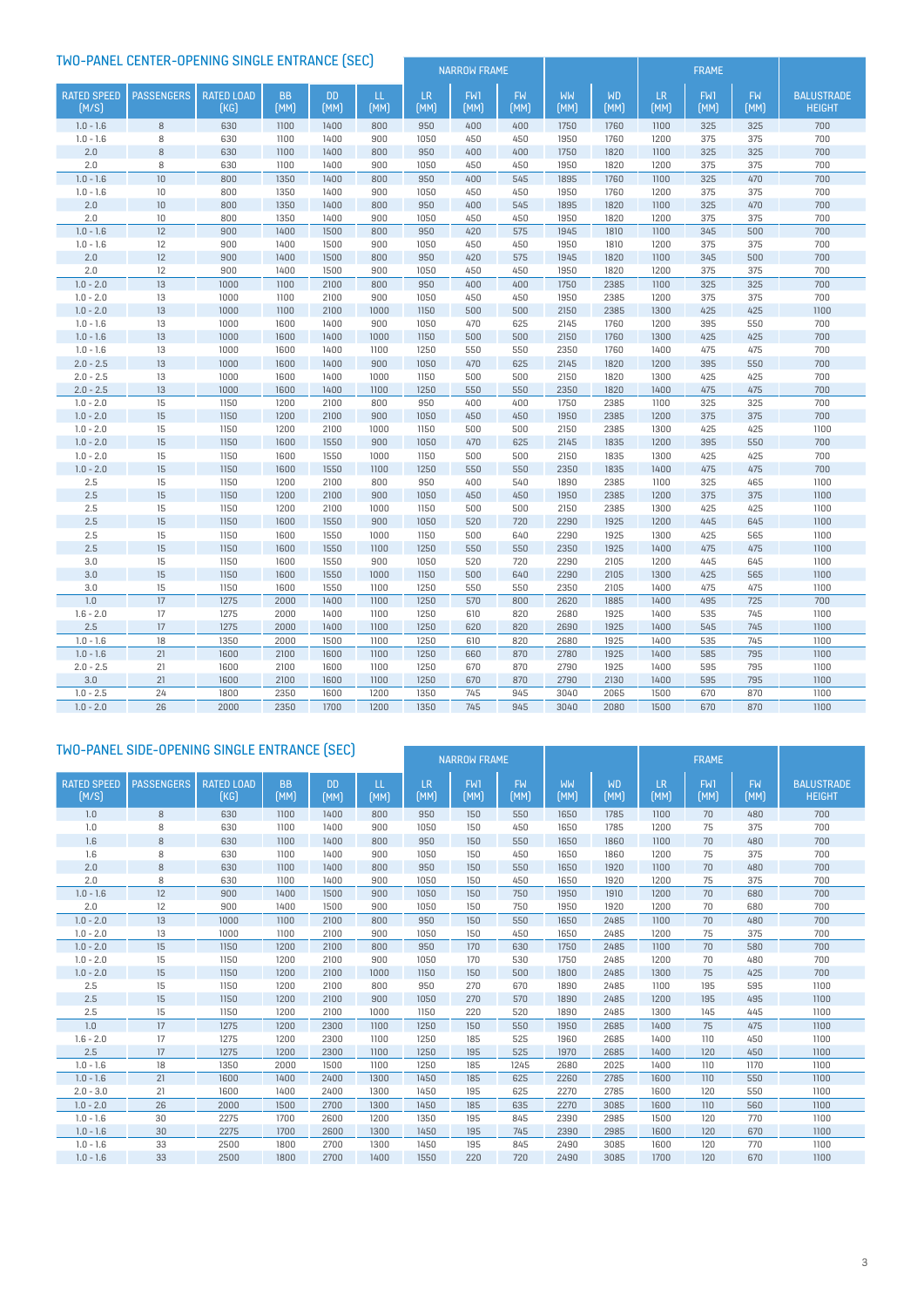| TWO-PANEL CENTER-OPENING SINGLE ENTRANCE (SEC) |                   |                           |                   |                   |             | <b>NARROW FRAME</b> |             |                   |              | <b>FRAME</b>      |                   |             |                   |                                    |
|------------------------------------------------|-------------------|---------------------------|-------------------|-------------------|-------------|---------------------|-------------|-------------------|--------------|-------------------|-------------------|-------------|-------------------|------------------------------------|
|                                                |                   |                           |                   |                   |             |                     |             |                   |              |                   |                   |             |                   |                                    |
| <b>RATED SPEED</b><br>(M/S)                    | <b>PASSENGERS</b> | <b>RATED LOAD</b><br>[KG] | <b>BB</b><br>(MM) | <b>DD</b><br>(MM) | LL.<br>(MM) | <b>LR</b><br>(MM)   | FW1<br>(MM) | <b>FW</b><br>(MM) | WW<br>(MM)   | <b>WD</b><br>(MM) | <b>LR</b><br>(MM) | FW1<br>(MM) | <b>FW</b><br>(MM) | <b>BALUSTRADE</b><br><b>HEIGHT</b> |
| $1.0 - 1.6$                                    | 8                 | 630                       | 1100              | 1400              | 800         | 950                 | 400         | 400               | 1750         | 1760              | 1100              | 325         | 325               | 700                                |
| $1.0 - 1.6$                                    | 8                 | 630                       | 1100              | 1400              | 900         | 1050                | 450         | 450               | 1950         | 1760              | 1200              | 375         | 375               | 700                                |
| 2.0                                            | $\,$ 8 $\,$       | 630                       | 1100              | 1400              | 800         | 950                 | 400         | 400               | 1750         | 1820              | 1100              | 325         | 325               | 700                                |
| 2.0                                            | 8                 | 630                       | 1100              | 1400              | 900         | 1050                | 450         | 450               | 1950         | 1820              | 1200              | 375         | 375               | 700                                |
| $1.0 - 1.6$                                    | 10                | 800                       | 1350              | 1400              | 800         | 950                 | 400         | 545               | 1895         | 1760              | 1100              | 325         | 470               | 700                                |
| $1.0 - 1.6$                                    | $10\,$            | 800                       | 1350              | 1400              | 900         | 1050                | 450         | 450               | 1950         | 1760              | 1200              | 375         | 375               | 700                                |
| 2.0                                            | 10                | 800                       | 1350              | 1400              | 800         | 950                 | 400         | 545               | 1895         | 1820              | 1100              | 325         | 470               | 700                                |
| 2.0                                            | 10                | 800                       | 1350              | 1400              | 900         | 1050                | 450         | 450               | 1950         | 1820              | 1200              | 375         | 375               | 700                                |
| $1.0 - 1.6$                                    | 12                | 900                       | 1400              | 1500              | 800         | 950                 | 420         | 575               | 1945         | 1810              | 1100              | 345         | 500               | 700                                |
| $1.0 - 1.6$                                    | 12                | 900                       | 1400              | 1500              | 900         | 1050                | 450         | 450               | 1950         | 1810              | 1200              | 375         | 375               | 700                                |
| 2.0                                            | 12                | 900                       | 1400              | 1500              | 800         | 950                 | 420         | 575               | 1945         | 1820              | 1100              | 345         | 500               | 700                                |
| 2.0                                            | 12                | 900                       | 1400              | 1500              | 900         | 1050                | 450         | 450               | 1950         | 1820              | 1200              | 375         | 375               | 700                                |
| $1.0 - 2.0$                                    | 13                | 1000                      | 1100              | 2100              | 800         | 950                 | 400         | 400               | 1750         | 2385              | 1100              | 325         | 325               | 700                                |
| $1.0 - 2.0$                                    | 13                | 1000                      | 1100              | 2100              | 900         | 1050                | 450         | 450               | 1950         | 2385              | 1200              | 375         | 375               | 700                                |
| $1.0 - 2.0$                                    | 13                | 1000                      | 1100              | 2100              | 1000        | 1150                | 500         | 500               | 2150         | 2385              | 1300              | 425         | 425               | 1100                               |
| $1.0 - 1.6$                                    | 13                | 1000                      | 1600              | 1400              | 900         | 1050                | 470         | 625               | 2145         | 1760              | 1200              | 395         | 550               | 700                                |
| $1.0 - 1.6$                                    | 13                | 1000                      | 1600              | 1400              | 1000        | 1150                | 500         | 500               | 2150         | 1760              | 1300              | 425         | 425               | 700                                |
| $1.0 - 1.6$                                    | 13                | 1000                      | 1600              | 1400              | 1100        | 1250                | 550         | 550               | 2350         | 1760              | 1400              | 475         | 475               | 700                                |
| $2.0 - 2.5$                                    | 13                | 1000                      | 1600              | 1400              | 900         | 1050                | 470         | 625               | 2145         | 1820              | 1200              | 395         | 550               | 700                                |
| $2.0 - 2.5$                                    | 13                | 1000                      | 1600              | 1400              | 1000        | 1150                | 500         | 500               | 2150         | 1820              | 1300              | 425         | 425               | 700                                |
| $2.0 - 2.5$                                    | 13                | 1000                      | 1600              | 1400              | 1100        | 1250                | 550         | 550               | 2350         | 1820              | 1400              | 475         | 475               | 700                                |
| $1.0 - 2.0$                                    | 15                | 1150                      | 1200              | 2100              | 800         | 950                 | 400         | 400               | 1750         | 2385              | 1100              | 325         | 325               | 700                                |
| $1.0 - 2.0$                                    | 15                | 1150                      | 1200              | 2100              | 900         | 1050                | 450         | 450               | 1950         | 2385              | 1200              | 375         | 375               | 700                                |
| $1.0 - 2.0$                                    | 15                | 1150                      | 1200              | 2100              | 1000        | 1150                | 500         | 500               | 2150         | 2385              | 1300              | 425         | 425               | 1100                               |
| $1.0 - 2.0$                                    | 15                | 1150                      | 1600              | 1550              | 900         | 1050                | 470         | 625               | 2145         | 1835              | 1200              | 395         | 550               | 700                                |
| $1.0 - 2.0$                                    | 15                | 1150                      | 1600              | 1550              | 1000        | 1150                | 500         | 500               | 2150         | 1835              | 1300              | 425         | 425               | 700                                |
| $1.0 - 2.0$                                    | 15                | 1150                      | 1600              | 1550              | 1100        | 1250                | 550         | 550               | 2350         | 1835              | 1400              | 475         | 475               | 700                                |
| 2.5                                            | 15                | 1150                      | 1200              | 2100              | 800         | 950                 | 400         | 540               | 1890         | 2385              | 1100              | 325         | 465               | 1100                               |
| 2.5                                            | 15                | 1150                      | 1200              | 2100              | 900         | 1050                | 450         | 450               | 1950         | 2385              | 1200              | 375         | 375               | 1100                               |
| 2.5                                            | 15                | 1150                      | 1200              | 2100              | 1000        | 1150                | 500         | 500               | 2150         | 2385              | 1300              | 425         | 425               | 1100                               |
| 2.5<br>2.5                                     | 15<br>15          | 1150<br>1150              | 1600<br>1600      | 1550<br>1550      | 900<br>1000 | 1050<br>1150        | 520<br>500  | 720<br>640        | 2290<br>2290 | 1925<br>1925      | 1200<br>1300      | 445<br>425  | 645<br>565        | 1100<br>1100                       |
| 2.5                                            | 15                | 1150                      | 1600              | 1550              | 1100        | 1250                | 550         | 550               | 2350         | 1925              | 1400              | 475         | 475               | 1100                               |
| 3.0                                            | 15                | 1150                      | 1600              | 1550              | 900         | 1050                | 520         | 720               | 2290         | 2105              | 1200              | 445         | 645               | 1100                               |
| 3.0                                            | 15                | 1150                      | 1600              | 1550              | 1000        | 1150                | 500         | 640               | 2290         | 2105              | 1300              | 425         | 565               | 1100                               |
| 3.0                                            | 15                | 1150                      | 1600              | 1550              | 1100        | 1250                | 550         | 550               | 2350         | 2105              | 1400              | 475         | 475               | 1100                               |
| 1.0                                            | 17                | 1275                      | 2000              | 1400              | 1100        | 1250                | 570         | 800               | 2620         | 1885              | 1400              | 495         | 725               | 700                                |
| $1.6 - 2.0$                                    | 17                | 1275                      | 2000              | 1400              | 1100        | 1250                | 610         | 820               | 2680         | 1925              | 1400              | 535         | 745               | 1100                               |
| 2.5                                            | 17                | 1275                      | 2000              | 1400              | 1100        | 1250                | 620         | 820               | 2690         | 1925              | 1400              | 545         | 745               | 1100                               |
| $1.0 - 1.6$                                    | 18                | 1350                      | 2000              | 1500              | 1100        | 1250                | 610         | 820               | 2680         | 1925              | 1400              | 535         | 745               | 1100                               |
| $1.0 - 1.6$                                    | 21                | 1600                      | 2100              | 1600              | 1100        | 1250                | 660         | 870               | 2780         | 1925              | 1400              | 585         | 795               | 1100                               |
| $2.0 - 2.5$                                    | 21                | 1600                      | 2100              | 1600              | 1100        | 1250                | 670         | 870               | 2790         | 1925              | 1400              | 595         | 795               | 1100                               |
| 3.0                                            | 21                | 1600                      | 2100              | 1600              | 1100        | 1250                | 670         | 870               | 2790         | 2130              | 1400              | 595         | 795               | 1100                               |
| $1.0 - 2.5$                                    | 24                | 1800                      | 2350              | 1600              | 1200        | 1350                | 745         | 945               | 3040         | 2065              | 1500              | 670         | 870               | 1100                               |
| $1.0 - 2.0$                                    | 26                | 2000                      | 2350              | 1700              | 1200        | 1350                | 745         | 945               | 3040         | 2080              | 1500              | 670         | 870               | 1100                               |

### TWO-PANEL SIDE-OPENING SINGLE ENTRANCE (SEC)

|                             |                   |                           |                   |                   |             |            | <b>NARROW FRAME</b> |                   |                   |                   | <b>FRAME</b>      |                    |                   |                                    |
|-----------------------------|-------------------|---------------------------|-------------------|-------------------|-------------|------------|---------------------|-------------------|-------------------|-------------------|-------------------|--------------------|-------------------|------------------------------------|
| <b>RATED SPEED</b><br>(M/S) | <b>PASSENGERS</b> | <b>RATED LOAD</b><br>(KG) | <b>BB</b><br>(MM) | <b>DD</b><br>(MM) | LL.<br>(MM) | LR<br>[MM] | FW1<br>(MM)         | <b>FW</b><br>(MM) | <b>WW</b><br>[MM] | <b>WD</b><br>(MM) | <b>LR</b><br>(MM) | <b>FW1</b><br>[MM] | <b>FW</b><br>(MM) | <b>BALUSTRADE</b><br><b>HEIGHT</b> |
| 1.0                         | 8                 | 630                       | 1100              | 1400              | 800         | 950        | 150                 | 550               | 1650              | 1785              | 1100              | 70                 | 480               | 700                                |
| 1.0                         | 8                 | 630                       | 1100              | 1400              | 900         | 1050       | 150                 | 450               | 1650              | 1785              | 1200              | 75                 | 375               | 700                                |
| 1.6                         | 8                 | 630                       | 1100              | 1400              | 800         | 950        | 150                 | 550               | 1650              | 1860              | 1100              | 70                 | 480               | 700                                |
| 1.6                         | 8                 | 630                       | 1100              | 1400              | 900         | 1050       | 150                 | 450               | 1650              | 1860              | 1200              | 75                 | 375               | 700                                |
| 2.0                         | 8                 | 630                       | 1100              | 1400              | 800         | 950        | 150                 | 550               | 1650              | 1920              | 1100              | 70                 | 480               | 700                                |
| 2.0                         | 8                 | 630                       | 1100              | 1400              | 900         | 1050       | 150                 | 450               | 1650              | 1920              | 1200              | 75                 | 375               | 700                                |
| $1.0 - 1.6$                 | 12                | 900                       | 1400              | 1500              | 900         | 1050       | 150                 | 750               | 1950              | 1910              | 1200              | 70                 | 680               | 700                                |
| 2.0                         | 12                | 900                       | 1400              | 1500              | 900         | 1050       | 150                 | 750               | 1950              | 1920              | 1200              | 70                 | 680               | 700                                |
| $1.0 - 2.0$                 | 13                | 1000                      | 1100              | 2100              | 800         | 950        | 150                 | 550               | 1650              | 2485              | 1100              | 70                 | 480               | 700                                |
| $1.0 - 2.0$                 | 13                | 1000                      | 1100              | 2100              | 900         | 1050       | 150                 | 450               | 1650              | 2485              | 1200              | 75                 | 375               | 700                                |
| $1.0 - 2.0$                 | 15                | 1150                      | 1200              | 2100              | 800         | 950        | 170                 | 630               | 1750              | 2485              | 1100              | 70                 | 580               | 700                                |
| $1.0 - 2.0$                 | 15                | 1150                      | 1200              | 2100              | 900         | 1050       | 170                 | 530               | 1750              | 2485              | 1200              | 70                 | 480               | 700                                |
| $1.0 - 2.0$                 | 15                | 1150                      | 1200              | 2100              | 1000        | 1150       | 150                 | 500               | 1800              | 2485              | 1300              | 75                 | 425               | 700                                |
| 2.5                         | 15                | 1150                      | 1200              | 2100              | 800         | 950        | 270                 | 670               | 1890              | 2485              | 1100              | 195                | 595               | 1100                               |
| 2.5                         | 15                | 1150                      | 1200              | 2100              | 900         | 1050       | 270                 | 570               | 1890              | 2485              | 1200              | 195                | 495               | 1100                               |
| 2.5                         | 15                | 1150                      | 1200              | 2100              | 1000        | 1150       | 220                 | 520               | 1890              | 2485              | 1300              | 145                | 445               | 1100                               |
| 1.0                         | 17                | 1275                      | 1200              | 2300              | 1100        | 1250       | 150                 | 550               | 1950              | 2685              | 1400              | 75                 | 475               | 1100                               |
| $1.6 - 2.0$                 | 17                | 1275                      | 1200              | 2300              | 1100        | 1250       | 185                 | 525               | 1960              | 2685              | 1400              | 110                | 450               | 1100                               |
| 2.5                         | 17                | 1275                      | 1200              | 2300              | 1100        | 1250       | 195                 | 525               | 1970              | 2685              | 1400              | 120                | 450               | 1100                               |
| $1.0 - 1.6$                 | 18                | 1350                      | 2000              | 1500              | 1100        | 1250       | 185                 | 1245              | 2680              | 2025              | 1400              | 110                | 1170              | 1100                               |
| $1.0 - 1.6$                 | 21                | 1600                      | 1400              | 2400              | 1300        | 1450       | 185                 | 625               | 2260              | 2785              | 1600              | 110                | 550               | 1100                               |
| $2.0 - 3.0$                 | 21                | 1600                      | 1400              | 2400              | 1300        | 1450       | 195                 | 625               | 2270              | 2785              | 1600              | 120                | 550               | 1100                               |
| $1.0 - 2.0$                 | 26                | 2000                      | 1500              | 2700              | 1300        | 1450       | 185                 | 635               | 2270              | 3085              | 1600              | 110                | 560               | 1100                               |
| $1.0 - 1.6$                 | 30                | 2275                      | 1700              | 2600              | 1200        | 1350       | 195                 | 845               | 2390              | 2985              | 1500              | 120                | 770               | 1100                               |
| $1.0 - 1.6$                 | 30                | 2275                      | 1700              | 2600              | 1300        | 1450       | 195                 | 745               | 2390              | 2985              | 1600              | 120                | 670               | 1100                               |
| $1.0 - 1.6$                 | 33                | 2500                      | 1800              | 2700              | 1300        | 1450       | 195                 | 845               | 2490              | 3085              | 1600              | 120                | 770               | 1100                               |
| $1.0 - 1.6$                 | 33                | 2500                      | 1800              | 2700              | 1400        | 1550       | 220                 | 720               | 2490              | 3085              | 1700              | 120                | 670               | 1100                               |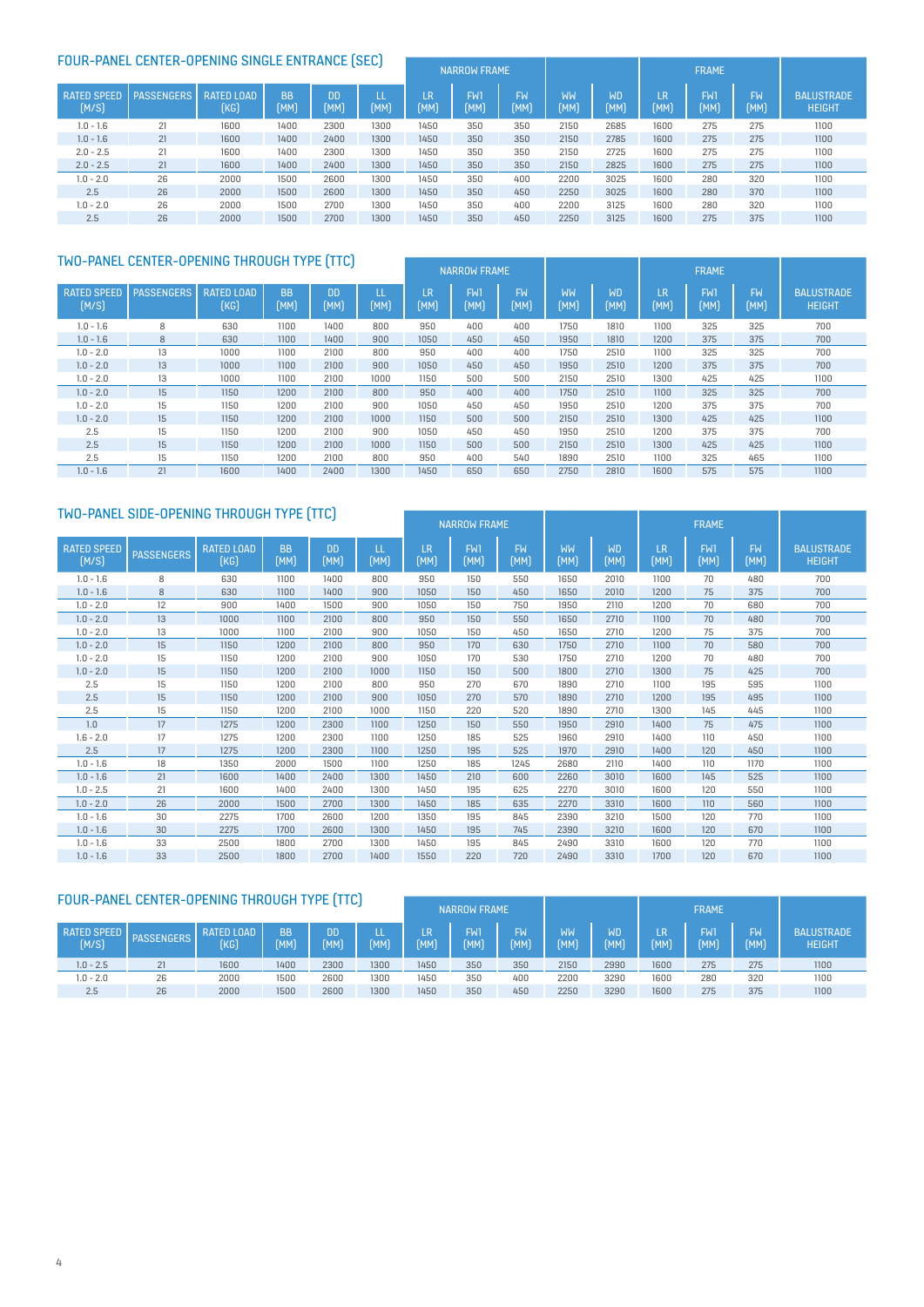# EQUIR-PANEL CENTER-OPENING SINGLE ENTRANCE (SEC)

| <b>FUUR-PANEL CENTER-UPENING SINGLE ENTRANCE [SEC]</b> |                   |                           |                   |                   |      | <b>NARROW FRAME</b> |             |                   |                   |                   | <b>FRAME</b> |                    |                   |                                    |
|--------------------------------------------------------|-------------------|---------------------------|-------------------|-------------------|------|---------------------|-------------|-------------------|-------------------|-------------------|--------------|--------------------|-------------------|------------------------------------|
| <b>RATED SPEED</b><br>(M/S)                            | <b>PASSENGERS</b> | <b>RATED LOAD</b><br>(KG) | <b>BB</b><br>(MM) | <b>DD</b><br>(MM) | (MM) | LR<br>(MM)          | FW1<br>(MM) | <b>FW</b><br>(MM) | <b>WW</b><br>[MM] | <b>WD</b><br>(MM) | LR.<br>(MM)  | <b>FW1</b><br>(MM) | <b>FW</b><br>[MM] | <b>BALUSTRADE</b><br><b>HEIGHT</b> |
| $1.0 - 1.6$                                            | 21                | 1600                      | 1400              | 2300              | 1300 | 1450                | 350         | 350               | 2150              | 2685              | 1600         | 275                | 275               | 1100                               |
| $1.0 - 1.6$                                            | 21                | 1600                      | 1400              | 2400              | 1300 | 1450                | 350         | 350               | 2150              | 2785              | 1600         | 275                | 275               | 1100                               |
| $2.0 - 2.5$                                            | 21                | 1600                      | 1400              | 2300              | 1300 | 1450                | 350         | 350               | 2150              | 2725              | 1600         | 275                | 275               | 1100                               |
| $2.0 - 2.5$                                            | 21                | 1600                      | 1400              | 2400              | 1300 | 1450                | 350         | 350               | 2150              | 2825              | 1600         | 275                | 275               | 1100                               |
| $1.0 - 2.0$                                            | 26                | 2000                      | 1500              | 2600              | 1300 | 1450                | 350         | 400               | 2200              | 3025              | 1600         | 280                | 320               | 1100                               |
| 2.5                                                    | 26                | 2000                      | 1500              | 2600              | 1300 | 1450                | 350         | 450               | 2250              | 3025              | 1600         | 280                | 370               | 1100                               |
| $1.0 - 2.0$                                            | 26                | 2000                      | 1500              | 2700              | 1300 | 1450                | 350         | 400               | 2200              | 3125              | 1600         | 280                | 320               | 1100                               |
| 2.5                                                    | 26                | 2000                      | 1500              | 2700              | 1300 | 1450                | 350         | 450               | 2250              | 3125              | 1600         | 275                | 375               | 1100                               |

### TWO-PANEL CENTER-OPENING THROUGH TYPE (TTC) NARROW FRAME FRAME FRAME FRAME

|                             |                   |                           |                   |                   |      |            | <b>INANNUM ENAPIL</b> |                   |                   |                   |            | <b>FNATIL</b>      |                   |                                    |
|-----------------------------|-------------------|---------------------------|-------------------|-------------------|------|------------|-----------------------|-------------------|-------------------|-------------------|------------|--------------------|-------------------|------------------------------------|
| <b>RATED SPEED</b><br>[M/S] | <b>PASSENGERS</b> | <b>RATED LOAD</b><br>(KG) | <b>BB</b><br>[MM] | <b>DD</b><br>[MM] | (MM) | LR<br>[MM] | FW1<br>[MM]           | <b>FW</b><br>[MM] | <b>WW</b><br>(MM) | <b>WD</b><br>[MM] | LR<br>(MM) | <b>FW1</b><br>[MM] | <b>FW</b><br>[MM] | <b>BALUSTRADE</b><br><b>HEIGHT</b> |
| $1.0 - 1.6$                 | 8                 | 630                       | 1100              | 1400              | 800  | 950        | 400                   | 400               | 1750              | 1810              | 1100       | 325                | 325               | 700                                |
| $1.0 - 1.6$                 | 8                 | 630                       | 1100              | 1400              | 900  | 1050       | 450                   | 450               | 1950              | 1810              | 1200       | 375                | 375               | 700                                |
| $1.0 - 2.0$                 | 13                | 1000                      | 1100              | 2100              | 800  | 950        | 400                   | 400               | 1750              | 2510              | 1100       | 325                | 325               | 700                                |
| $1.0 - 2.0$                 | 13                | 1000                      | 1100              | 2100              | 900  | 1050       | 450                   | 450               | 1950              | 2510              | 1200       | 375                | 375               | 700                                |
| $1.0 - 2.0$                 | 13                | 1000                      | 1100              | 2100              | 1000 | 1150       | 500                   | 500               | 2150              | 2510              | 1300       | 425                | 425               | 1100                               |
| $1.0 - 2.0$                 | 15                | 1150                      | 1200              | 2100              | 800  | 950        | 400                   | 400               | 1750              | 2510              | 1100       | 325                | 325               | 700                                |
| $1.0 - 2.0$                 | 15                | 1150                      | 1200              | 2100              | 900  | 1050       | 450                   | 450               | 1950              | 2510              | 1200       | 375                | 375               | 700                                |
| $1.0 - 2.0$                 | 15                | 1150                      | 1200              | 2100              | 1000 | 1150       | 500                   | 500               | 2150              | 2510              | 1300       | 425                | 425               | 1100                               |
| 2.5                         | 15                | 1150                      | 1200              | 2100              | 900  | 1050       | 450                   | 450               | 1950              | 2510              | 1200       | 375                | 375               | 700                                |
| 2.5                         | 15                | 1150                      | 1200              | 2100              | 1000 | 1150       | 500                   | 500               | 2150              | 2510              | 1300       | 425                | 425               | 1100                               |
| 2.5                         | 15                | 1150                      | 1200              | 2100              | 800  | 950        | 400                   | 540               | 1890              | 2510              | 1100       | 325                | 465               | 1100                               |
| $1.0 - 1.6$                 | 21                | 1600                      | 1400              | 2400              | 1300 | 1450       | 650                   | 650               | 2750              | 2810              | 1600       | 575                | 575               | 1100                               |

# TWO-PANEL SIDE-OPENING THROUGH TYPE (TTC)

|                             |                   |                           |                   |                   |           | <b>IVAINNUM LIVAPIL</b> |                    |                   |            | <b>INATIL</b>     |            |                    |                   |                                    |
|-----------------------------|-------------------|---------------------------|-------------------|-------------------|-----------|-------------------------|--------------------|-------------------|------------|-------------------|------------|--------------------|-------------------|------------------------------------|
| <b>RATED SPEED</b><br>(M/S) | <b>PASSENGERS</b> | <b>RATED LOAD</b><br>[KG] | <b>BB</b><br>(MM) | <b>DD</b><br>(MM) | п<br>(MM) | LR<br>(MM)              | <b>FW1</b><br>(MM) | <b>FW</b><br>(MM) | WW<br>(MM) | <b>WD</b><br>(MM) | LR<br>(MM) | <b>FW1</b><br>[MM] | <b>FW</b><br>(MM) | <b>BALUSTRADE</b><br><b>HEIGHT</b> |
| $1.0 - 1.6$                 | 8                 | 630                       | 1100              | 1400              | 800       | 950                     | 150                | 550               | 1650       | 2010              | 1100       | 70                 | 480               | 700                                |
| $1.0 - 1.6$                 | 8                 | 630                       | 1100              | 1400              | 900       | 1050                    | 150                | 450               | 1650       | 2010              | 1200       | 75                 | 375               | 700                                |
| $1.0 - 2.0$                 | 12                | 900                       | 1400              | 1500              | 900       | 1050                    | 150                | 750               | 1950       | 2110              | 1200       | 70                 | 680               | 700                                |
| $1.0 - 2.0$                 | 13                | 1000                      | 1100              | 2100              | 800       | 950                     | 150                | 550               | 1650       | 2710              | 1100       | 70                 | 480               | 700                                |
| $1.0 - 2.0$                 | 13                | 1000                      | 1100              | 2100              | 900       | 1050                    | 150                | 450               | 1650       | 2710              | 1200       | 75                 | 375               | 700                                |
| $1.0 - 2.0$                 | 15                | 1150                      | 1200              | 2100              | 800       | 950                     | 170                | 630               | 1750       | 2710              | 1100       | 70                 | 580               | 700                                |
| $1.0 - 2.0$                 | 15                | 1150                      | 1200              | 2100              | 900       | 1050                    | 170                | 530               | 1750       | 2710              | 1200       | 70                 | 480               | 700                                |
| $1.0 - 2.0$                 | 15                | 1150                      | 1200              | 2100              | 1000      | 1150                    | 150                | 500               | 1800       | 2710              | 1300       | 75                 | 425               | 700                                |
| 2.5                         | 15                | 1150                      | 1200              | 2100              | 800       | 950                     | 270                | 670               | 1890       | 2710              | 1100       | 195                | 595               | 1100                               |
| 2.5                         | 15                | 1150                      | 1200              | 2100              | 900       | 1050                    | 270                | 570               | 1890       | 2710              | 1200       | 195                | 495               | 1100                               |
| 2.5                         | 15                | 1150                      | 1200              | 2100              | 1000      | 1150                    | 220                | 520               | 1890       | 2710              | 1300       | 145                | 445               | 1100                               |
| 1.0                         | 17                | 1275                      | 1200              | 2300              | 1100      | 1250                    | 150                | 550               | 1950       | 2910              | 1400       | 75                 | 475               | 1100                               |
| $1.6 - 2.0$                 | 17                | 1275                      | 1200              | 2300              | 1100      | 1250                    | 185                | 525               | 1960       | 2910              | 1400       | 110                | 450               | 1100                               |
| 2.5                         | 17                | 1275                      | 1200              | 2300              | 1100      | 1250                    | 195                | 525               | 1970       | 2910              | 1400       | 120                | 450               | 1100                               |
| $1.0 - 1.6$                 | 18                | 1350                      | 2000              | 1500              | 1100      | 1250                    | 185                | 1245              | 2680       | 2110              | 1400       | 110                | 1170              | 1100                               |
| $1.0 - 1.6$                 | 21                | 1600                      | 1400              | 2400              | 1300      | 1450                    | 210                | 600               | 2260       | 3010              | 1600       | 145                | 525               | 1100                               |
| $1.0 - 2.5$                 | 21                | 1600                      | 1400              | 2400              | 1300      | 1450                    | 195                | 625               | 2270       | 3010              | 1600       | 120                | 550               | 1100                               |
| $1.0 - 2.0$                 | 26                | 2000                      | 1500              | 2700              | 1300      | 1450                    | 185                | 635               | 2270       | 3310              | 1600       | 110                | 560               | 1100                               |
| $1.0 - 1.6$                 | 30                | 2275                      | 1700              | 2600              | 1200      | 1350                    | 195                | 845               | 2390       | 3210              | 1500       | 120                | 770               | 1100                               |
| $1.0 - 1.6$                 | 30                | 2275                      | 1700              | 2600              | 1300      | 1450                    | 195                | 745               | 2390       | 3210              | 1600       | 120                | 670               | 1100                               |
| $1.0 - 1.6$                 | 33                | 2500                      | 1800              | 2700              | 1300      | 1450                    | 195                | 845               | 2490       | 3310              | 1600       | 120                | 770               | 1100                               |
| $1.0 - 1.6$                 | 33                | 2500                      | 1800              | 2700              | 1400      | 1550                    | 220                | 720               | 2490       | 3310              | 1700       | 120                | 670               | 1100                               |

### FOUR-PANEL CENTER-OPENING THROUGH TYPE (TTC)

|                             |                   |                    | <b>NAKKUW FRAME</b> |                   |      |            |             | FRAME      |            |                   |            |             |            |                                    |
|-----------------------------|-------------------|--------------------|---------------------|-------------------|------|------------|-------------|------------|------------|-------------------|------------|-------------|------------|------------------------------------|
| <b>RATED SPEED</b><br>(M/S) | <b>PASSENGERS</b> | RATED LOAD<br>(KG) | <b>BB</b><br>[MM]   | <b>DD</b><br>(MM) | [MM] | LR<br>(MM) | EM.<br>(MM) | FW<br>[MM] | WW<br>(MM) | <b>WD</b><br>(MM) | LR.<br>MM) | EM.<br>[MM] | FW<br>(MM) | <b>BALUSTRADE</b><br><b>HEIGHT</b> |
| $1.0 - 2.5$                 | 21                | 1600               | 1400                | 2300              | 1300 | 1450       | 350         | 350        | 2150       | 2990              | 1600       | 275         | 275        | 1100                               |
| $1.0 - 2.0$                 | 26                | 2000               | 1500                | 2600              | 1300 | 1450       | 350         | 400        | 2200       | 3290              | 1600       | 280         | 320        | 1100                               |
| 2.5                         | 26                | 2000               | 1500                | 2600              | 1300 | 1450       | 350         | 450        | 2250       | 3290              | 1600       | 275         | 375        | 1100                               |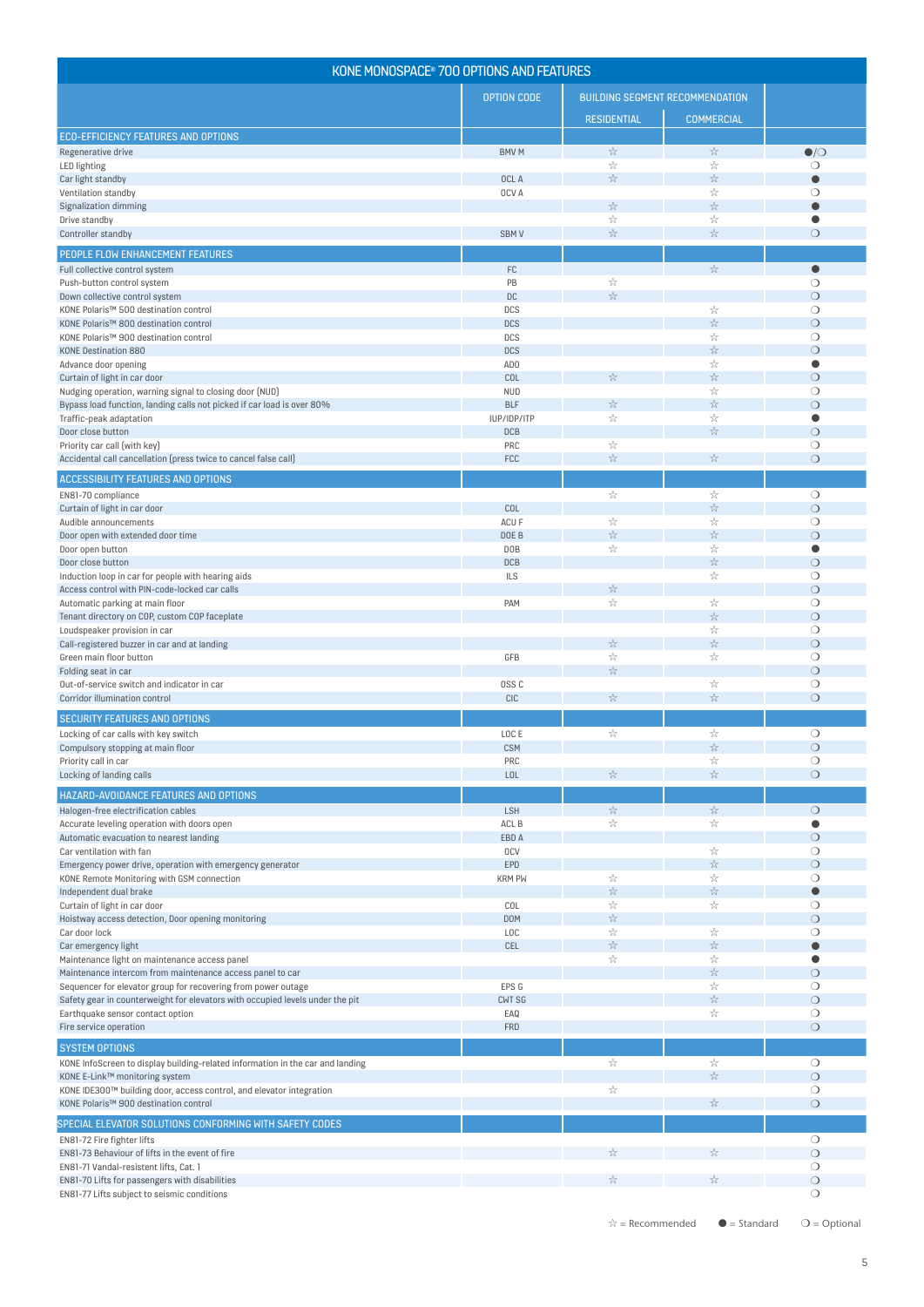| KONE MONOSPACE® 700 OPTIONS AND FEATURES                                                          |                           |                                                               |                                                                  |                       |
|---------------------------------------------------------------------------------------------------|---------------------------|---------------------------------------------------------------|------------------------------------------------------------------|-----------------------|
|                                                                                                   | <b>OPTION CODE</b>        |                                                               | <b>BUILDING SEGMENT RECOMMENDATION</b>                           |                       |
|                                                                                                   |                           | <b>RESIDENTIAL</b>                                            | <b>COMMERCIAL</b>                                                |                       |
| <b>ECO-EFFICIENCY FEATURES AND OPTIONS</b>                                                        |                           |                                                               |                                                                  |                       |
| Regenerative drive                                                                                | <b>BMVM</b>               | $z^{\Lambda}_{\Lambda}$                                       | $\mathcal{Z}^{\mathcal{V}}_{\mathcal{V}}$                        | $\bullet$ / $\circ$   |
| LED lighting<br>Car light standby                                                                 | OCL A                     | $z^{\Lambda}_{\Lambda}$<br>$\frac{1}{2\sqrt{2}}$              | X<br>$\mathbb{R}^{\mathbb{N}_2}$                                 | О                     |
| Ventilation standby                                                                               | OCV A                     |                                                               | X                                                                | $\bigcirc$            |
| <b>Signalization dimming</b>                                                                      |                           | $z^{\Lambda}_{\Lambda}$                                       | $\mathbb{Z}_\mathbb{Z}^\mathbb{Z}$                               | $\bullet$             |
| Drive standby                                                                                     |                           | $z^{\Lambda}_{\Lambda}$                                       | X<br>$\mathbb{Z}^{\Lambda_{\overline{c}}}_{\mathbb{Z}^{\times}}$ | $\bullet$             |
| Controller standby                                                                                | SBM <sub>V</sub>          | $z^{\Lambda}_{\Lambda}$                                       |                                                                  | $\bigcirc$            |
| PEOPLE FLOW ENHANCEMENT FEATURES                                                                  |                           |                                                               |                                                                  |                       |
| Full collective control system<br>Push-button control system                                      | $\mathsf{FC}$<br>PB       | X                                                             | $\mathbb{R}^{\mathbb{N}_2}$                                      | $\bullet$<br>$\circ$  |
| Down collective control system                                                                    | DC                        | $\mathbb{Z}_\mathbb{Z}^\mathbb{N}$                            |                                                                  | $\circ$               |
| KONE Polaris™ 500 destination control                                                             | DCS                       |                                                               | ÷                                                                | $\circ$               |
| KONE Polaris™ 800 destination control                                                             | <b>DCS</b>                |                                                               | $\gamma^{\Lambda}_{\chi}$                                        | $\circ$               |
| KONE Polaris™ 900 destination control<br><b>KONE Destination 880</b>                              | DCS<br><b>DCS</b>         |                                                               | ÷<br>$\gamma^{\Lambda}_{\chi}$                                   | $\circ$<br>$\bigcirc$ |
| Advance door opening                                                                              | AD <sub>0</sub>           |                                                               | X                                                                | $\bullet$             |
| Curtain of light in car door                                                                      | COL                       | $\mathcal{Z}^{\mathcal{N}}_{\mathcal{N}}$                     | $\mathcal{Z}^{\mathcal{N}}_{\mathcal{N}}$                        | $\circ$               |
| Nudging operation, warning signal to closing door (NUD)                                           | <b>NUD</b>                |                                                               | X                                                                | $\circ$               |
| Bypass load function, landing calls not picked if car load is over 80%<br>Traffic-peak adaptation | <b>BLF</b><br>IUP/IDP/ITP | $\mathcal{Z}^{\Lambda_{\!\!Z}}$<br>$z^{\Lambda}_{\Lambda}$    | $\mathbb{R}^{\mathbb{N}_2}$<br>X                                 | $\circ$<br>$\bullet$  |
| Door close button                                                                                 | DCB                       |                                                               | $\mathbb{Z}_\mathbb{Z}^\mathbb{Z}$                               | $\circ$               |
| Priority car call (with key)                                                                      | PRC                       | A                                                             |                                                                  | $\circ$               |
| Accidental call cancellation (press twice to cancel false call)                                   | FCC                       | $\mathbb{Z}_\mathbb{Z}^\mathbb{N}$                            | $\mathbb{Z}_\mathbb{Z}^\mathbb{Z}$                               | $\circ$               |
| <b>ACCESSIBILITY FEATURES AND OPTIONS</b>                                                         |                           |                                                               |                                                                  |                       |
| EN81-70 compliance                                                                                |                           | $z^{\Lambda}_{\Lambda}$                                       | ÷                                                                | $\circ$               |
| Curtain of light in car door                                                                      | COL                       |                                                               | $z^{\Lambda}_{\Lambda}$                                          | $\circ$               |
| Audible announcements<br>Door open with extended door time                                        | ACU F<br>DOE B            | X<br>$\mathbb{Z}^N$                                           | X<br>$\gamma^{\Lambda}_{\chi}$                                   | $\circ$<br>$\circ$    |
| Door open button                                                                                  | D <sub>O</sub> B          | ÷                                                             | X                                                                | $\bullet$             |
| Door close button                                                                                 | DCB                       |                                                               | $\mathbb{Z}_\mathbb{Z}^\mathbb{Z}$                               | $\circ$               |
| Induction loop in car for people with hearing aids                                                | <b>ILS</b>                |                                                               | X                                                                | $\circ$               |
| Access control with PIN-code-locked car calls<br>Automatic parking at main floor                  | PAM                       | $z^{\Lambda}_{\Lambda}$<br>$z^{\Lambda}_{\Lambda}$            | X                                                                | $\circ$<br>$\circ$    |
| Tenant directory on COP, custom COP faceplate                                                     |                           |                                                               | *                                                                | $\circ$               |
| Loudspeaker provision in car                                                                      |                           |                                                               | X                                                                | $\circ$               |
| Call-registered buzzer in car and at landing                                                      |                           | $z^{\Lambda}_{\Lambda}$                                       | $\mathbb{Z}^{\Lambda_{\overline{c}}}_{\mathbb{Z}^{\times}}$      | $\circ$               |
| Green main floor button<br>Folding seat in car                                                    | GFB                       | $z^{\Lambda}_{\Lambda}$<br>$\mathbb{Z}_\mathbb{Z}^\mathbb{A}$ | X                                                                | $\circ$<br>$\circ$    |
| Out-of-service switch and indicator in car                                                        | OSS <sub>C</sub>          |                                                               | X                                                                | $\circ$               |
| Corridor illumination control                                                                     | <b>CIC</b>                | $\mathcal{Z}^{\Lambda_{\!\!Z}}$                               | $\mathbb{S}^\Lambda_{\mathbb{X}}$                                | $\bigcirc$            |
| SECURITY FEATURES AND OPTIONS                                                                     |                           |                                                               |                                                                  |                       |
| Locking of car calls with key switch                                                              | LOC E                     | $z^{\Lambda}_{\Lambda}$                                       | X                                                                | $\circ$               |
| Compulsory stopping at main floor                                                                 | <b>CSM</b>                |                                                               | $\mathbb{Z}^{\Lambda_{\overline{c}}}_{\mathbb{Z}^{\times}}$      | $\circ$               |
| Priority call in car<br>Locking of landing calls                                                  | PRC<br>LOL                | 24                                                            | X<br>$\mathbb{Z}_\mathbb{Z}^\mathbb{Z}$                          | $\bigcirc$<br>$\circ$ |
|                                                                                                   |                           |                                                               |                                                                  |                       |
| HAZARD-AVOIDANCE FEATURES AND OPTIONS<br>Halogen-free electrification cables                      | LSH                       | $z^{\Lambda}_{\Lambda}$                                       | $z^{\Lambda}_{\Lambda}$                                          | $\circ$               |
| Accurate leveling operation with doors open                                                       | ACL B                     | ÷                                                             | X                                                                |                       |
| Automatic evacuation to nearest landing                                                           | EBD A                     |                                                               |                                                                  | $\bigcirc$            |
| Car ventilation with fan                                                                          | <b>OCV</b>                |                                                               | ☆                                                                | $\circ$               |
| Emergency power drive, operation with emergency generator                                         | EPD<br><b>KRM PW</b>      | ÷                                                             | $\mathbb{S}^\Lambda_{\mathbb{X}}$<br>X                           | $\circ$<br>$\circ$    |
| KONE Remote Monitoring with GSM connection<br>Independent dual brake                              |                           | $\mathcal{Z}^{\Lambda_{\!\!Z}}$                               | $\mathbb{Z}^{\Lambda_{\overline{c}}}_{\mathbb{Z}^{\times}}$      | Ō                     |
| Curtain of light in car door                                                                      | COL                       | A                                                             | X                                                                | О                     |
| Hoistway access detection, Door opening monitoring                                                | DOM                       | $\mathbb{Z}_\mathbb{Z}^\mathbb{Z}$                            |                                                                  | $\circ$               |
| Car door lock<br>Car emergency light                                                              | <b>LOC</b><br>CEL         | $z^{\Lambda}_{\Lambda}$<br>$\mathcal{Z}^{\Lambda_{\!\!Z}}$    | X<br>$\mathcal{Z}^{\Lambda_{\!\!Z}}$                             | $\circ$<br>$\bullet$  |
| Maintenance light on maintenance access panel                                                     |                           | ÷                                                             | X                                                                | O                     |
| Maintenance intercom from maintenance access panel to car                                         |                           |                                                               | $\mathbb{R}^{\mathbb{N}_2}$                                      | $\bigcirc$            |
| Sequencer for elevator group for recovering from power outage                                     | EPS G                     |                                                               | X                                                                | $\circ$               |
| Safety gear in counterweight for elevators with occupied levels under the pit                     | CWT SG                    |                                                               | $\mathbb{Z}_\mathbb{Z}^\mathbb{Z}$<br>X                          | $\circ$               |
| Earthquake sensor contact option<br>Fire service operation                                        | EAQ<br><b>FRD</b>         |                                                               |                                                                  | $\circ$<br>$\circ$    |
| <b>SYSTEM OPTIONS</b>                                                                             |                           |                                                               |                                                                  |                       |
| KONE InfoScreen to display building-related information in the car and landing                    |                           | $z^{\Lambda}_{\Lambda}$                                       | ÷                                                                | $\bigcirc$            |
| KONE E-Link™ monitoring system                                                                    |                           |                                                               | $\mathbb{Z}_\mathbb{Z}^\mathbb{N}$                               | $\circ$               |
| KONE IDE300™ building door, access control, and elevator integration                              |                           | ☆                                                             |                                                                  | $\circ$               |
| KONE Polaris™ 900 destination control                                                             |                           |                                                               | $\mathcal{Z}^{\mathcal{V}}_{\mathcal{V}}$                        | $\circ$               |
| SPECIAL ELEVATOR SOLUTIONS CONFORMING WITH SAFETY CODES                                           |                           |                                                               |                                                                  |                       |
| EN81-72 Fire fighter lifts                                                                        |                           |                                                               |                                                                  | $\circ$               |
| EN81-73 Behaviour of lifts in the event of fire<br>EN81-71 Vandal-resistent lifts, Cat. 1         |                           | 24                                                            | X                                                                | $\circ$<br>$\circ$    |
| EN81-70 Lifts for passengers with disabilities                                                    |                           | $\mathcal{Z}^{\mathcal{N}}_{\mathcal{N}}$                     | A                                                                | $\circ$               |
| EN81-77 Lifts subject to seismic conditions                                                       |                           |                                                               |                                                                  | $\bigcirc$            |

5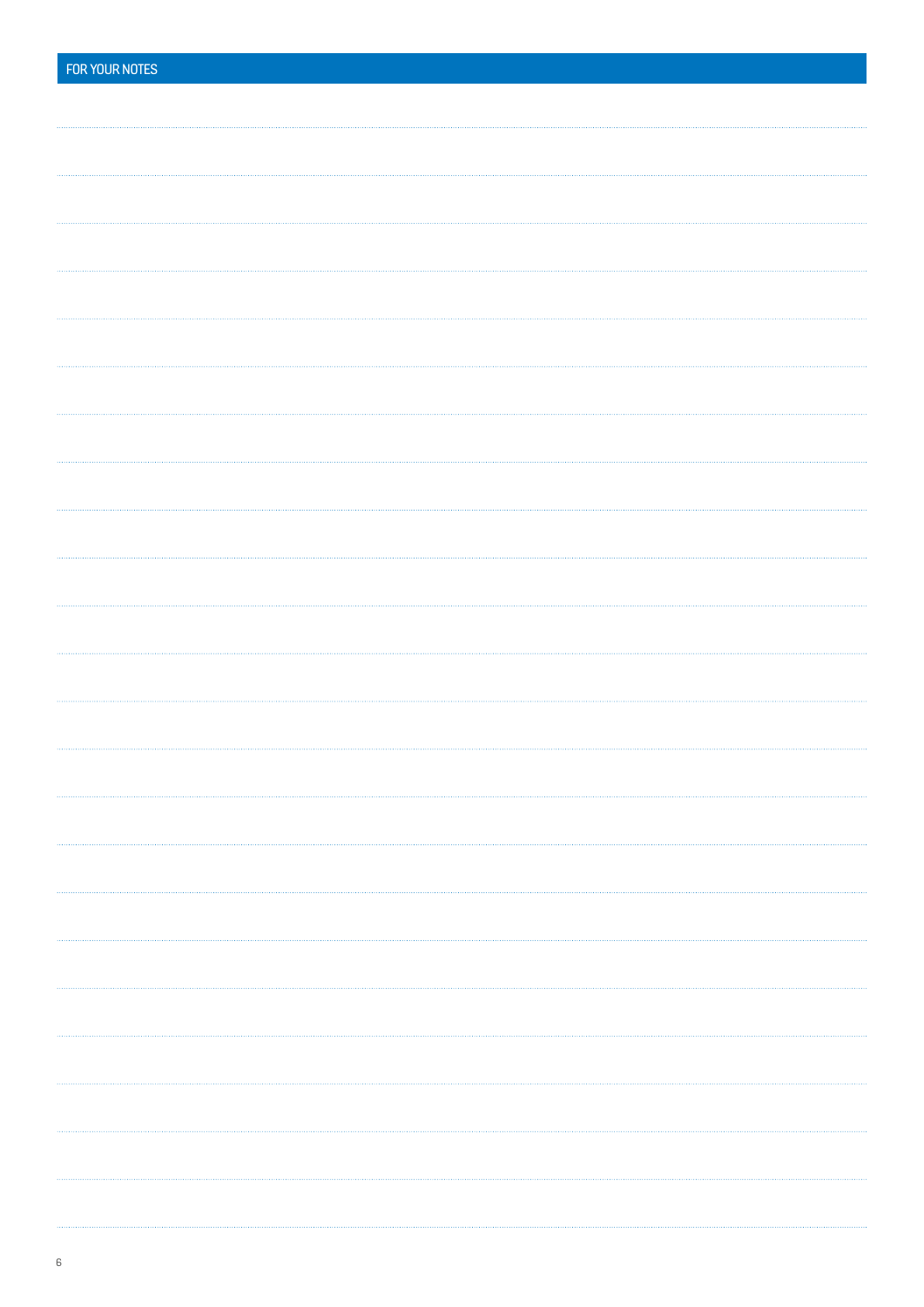| FOR YOUR NOTES |
|----------------|
|                |
|                |
|                |
|                |
|                |
|                |
|                |
|                |
|                |
|                |
|                |
|                |
|                |
|                |
|                |
|                |
|                |
|                |
|                |
|                |
|                |
|                |
|                |
|                |
|                |
|                |
|                |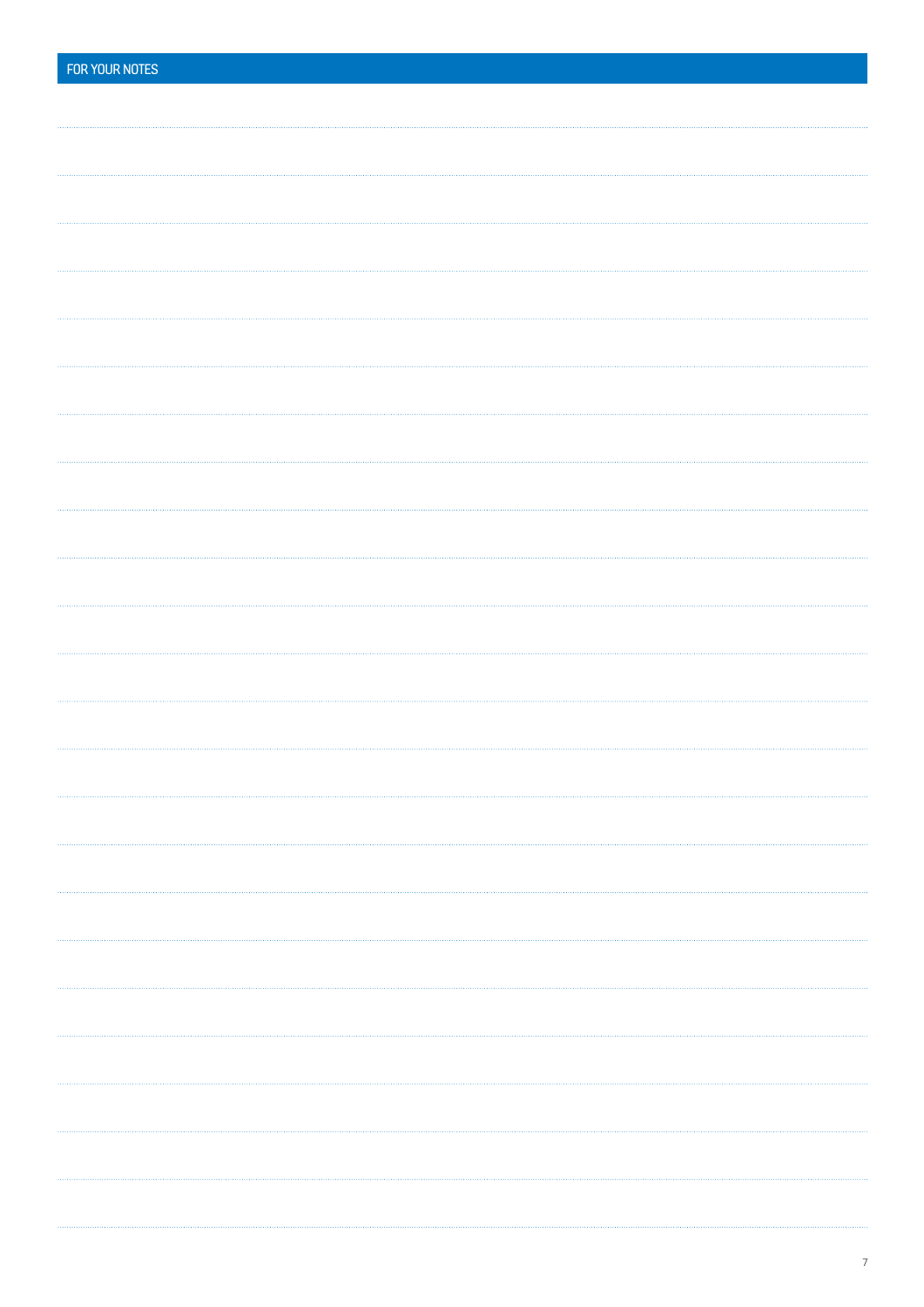| FOR YOUR NOTES |  |
|----------------|--|
|                |  |
|                |  |
|                |  |
|                |  |
|                |  |
|                |  |
|                |  |
|                |  |
|                |  |
|                |  |
|                |  |
|                |  |
|                |  |
|                |  |
|                |  |
|                |  |
|                |  |
|                |  |
|                |  |
|                |  |
|                |  |
|                |  |
|                |  |
|                |  |
|                |  |
|                |  |
|                |  |
|                |  |
|                |  |
|                |  |
|                |  |
|                |  |
|                |  |
|                |  |
|                |  |
|                |  |
|                |  |
|                |  |
|                |  |
|                |  |
|                |  |
|                |  |
|                |  |
|                |  |
|                |  |